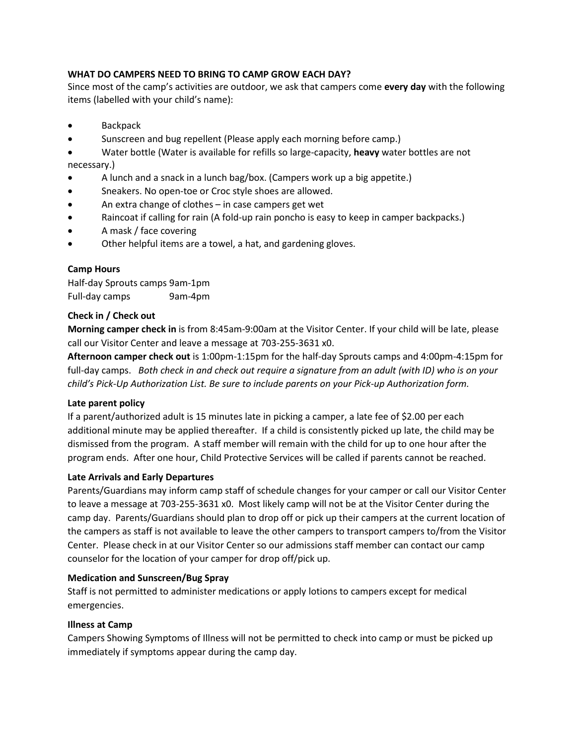# **WHAT DO CAMPERS NEED TO BRING TO CAMP GROW EACH DAY?**

Since most of the camp's activities are outdoor, we ask that campers come **every day** with the following items (labelled with your child's name):

- Backpack
- Sunscreen and bug repellent (Please apply each morning before camp.)
- Water bottle (Water is available for refills so large-capacity, **heavy** water bottles are not necessary.)
- A lunch and a snack in a lunch bag/box. (Campers work up a big appetite.)
- Sneakers. No open-toe or Croc style shoes are allowed.
- An extra change of clothes in case campers get wet
- Raincoat if calling for rain (A fold-up rain poncho is easy to keep in camper backpacks.)
- A mask / face covering
- Other helpful items are a towel, a hat, and gardening gloves.

# **Camp Hours**

Half-day Sprouts camps 9am-1pm Full-day camps 9am-4pm

# **Check in / Check out**

**Morning camper check in** is from 8:45am-9:00am at the Visitor Center. If your child will be late, please call our Visitor Center and leave a message at 703-255-3631 x0.

**Afternoon camper check out** is 1:00pm-1:15pm for the half-day Sprouts camps and 4:00pm-4:15pm for full-day camps. *Both check in and check out require a signature from an adult (with ID) who is on your child's Pick-Up Authorization List. Be sure to include parents on your Pick-up Authorization form.* 

# **Late parent policy**

If a parent/authorized adult is 15 minutes late in picking a camper, a late fee of \$2.00 per each additional minute may be applied thereafter. If a child is consistently picked up late, the child may be dismissed from the program. A staff member will remain with the child for up to one hour after the program ends. After one hour, Child Protective Services will be called if parents cannot be reached.

# **Late Arrivals and Early Departures**

Parents/Guardians may inform camp staff of schedule changes for your camper or call our Visitor Center to leave a message at 703-255-3631 x0. Most likely camp will not be at the Visitor Center during the camp day. Parents/Guardians should plan to drop off or pick up their campers at the current location of the campers as staff is not available to leave the other campers to transport campers to/from the Visitor Center. Please check in at our Visitor Center so our admissions staff member can contact our camp counselor for the location of your camper for drop off/pick up.

#### **Medication and Sunscreen/Bug Spray**

Staff is not permitted to administer medications or apply lotions to campers except for medical emergencies.

# **Illness at Camp**

Campers Showing Symptoms of Illness will not be permitted to check into camp or must be picked up immediately if symptoms appear during the camp day.